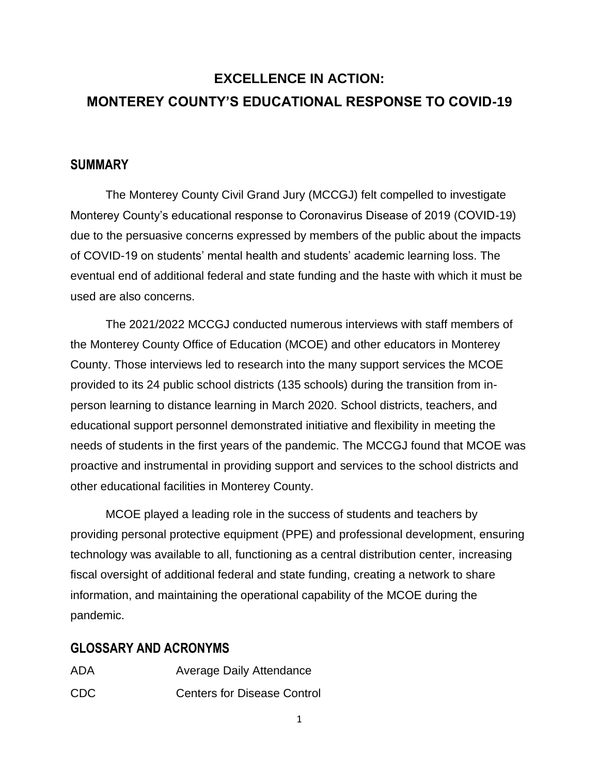# **EXCELLENCE IN ACTION: MONTEREY COUNTY'S EDUCATIONAL RESPONSE TO COVID-19**

## **SUMMARY**

The Monterey County Civil Grand Jury (MCCGJ) felt compelled to investigate Monterey County's educational response to Coronavirus Disease of 2019 (COVID-19) due to the persuasive concerns expressed by members of the public about the impacts of COVID-19 on students' mental health and students' academic learning loss. The eventual end of additional federal and state funding and the haste with which it must be used are also concerns.

The 2021/2022 MCCGJ conducted numerous interviews with staff members of the Monterey County Office of Education (MCOE) and other educators in Monterey County. Those interviews led to research into the many support services the MCOE provided to its 24 public school districts (135 schools) during the transition from inperson learning to distance learning in March 2020. School districts, teachers, and educational support personnel demonstrated initiative and flexibility in meeting the needs of students in the first years of the pandemic. The MCCGJ found that MCOE was proactive and instrumental in providing support and services to the school districts and other educational facilities in Monterey County.

MCOE played a leading role in the success of students and teachers by providing personal protective equipment (PPE) and professional development, ensuring technology was available to all, functioning as a central distribution center, increasing fiscal oversight of additional federal and state funding, creating a network to share information, and maintaining the operational capability of the MCOE during the pandemic.

# **GLOSSARY AND ACRONYMS**

ADA Average Daily Attendance CDC Centers for Disease Control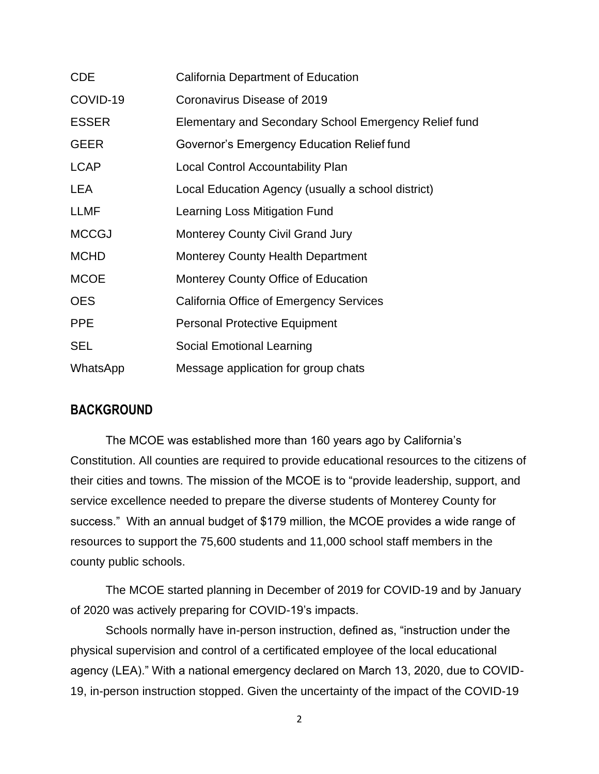| <b>CDE</b>   | California Department of Education                    |
|--------------|-------------------------------------------------------|
| COVID-19     | Coronavirus Disease of 2019                           |
| <b>ESSER</b> | Elementary and Secondary School Emergency Relief fund |
| <b>GEER</b>  | Governor's Emergency Education Relief fund            |
| <b>LCAP</b>  | Local Control Accountability Plan                     |
| LEA          | Local Education Agency (usually a school district)    |
| LLMF         | Learning Loss Mitigation Fund                         |
| <b>MCCGJ</b> | <b>Monterey County Civil Grand Jury</b>               |
| <b>MCHD</b>  | <b>Monterey County Health Department</b>              |
| <b>MCOE</b>  | Monterey County Office of Education                   |
| <b>OES</b>   | California Office of Emergency Services               |
| <b>PPE</b>   | <b>Personal Protective Equipment</b>                  |
| <b>SEL</b>   | Social Emotional Learning                             |
| WhatsApp     | Message application for group chats                   |

### **BACKGROUND**

The MCOE was established more than 160 years ago by California's Constitution. All counties are required to provide educational resources to the citizens of their cities and towns. The mission of the MCOE is to "provide leadership, support, and service excellence needed to prepare the diverse students of Monterey County for success." With an annual budget of \$179 million, the MCOE provides a wide range of resources to support the 75,600 students and 11,000 school staff members in the county public schools.

The MCOE started planning in December of 2019 for COVID-19 and by January of 2020 was actively preparing for COVID-19's impacts.

Schools normally have in-person instruction, defined as, "instruction under the physical supervision and control of a certificated employee of the local educational agency (LEA)." With a national emergency declared on March 13, 2020, due to COVID-19, in-person instruction stopped. Given the uncertainty of the impact of the COVID-19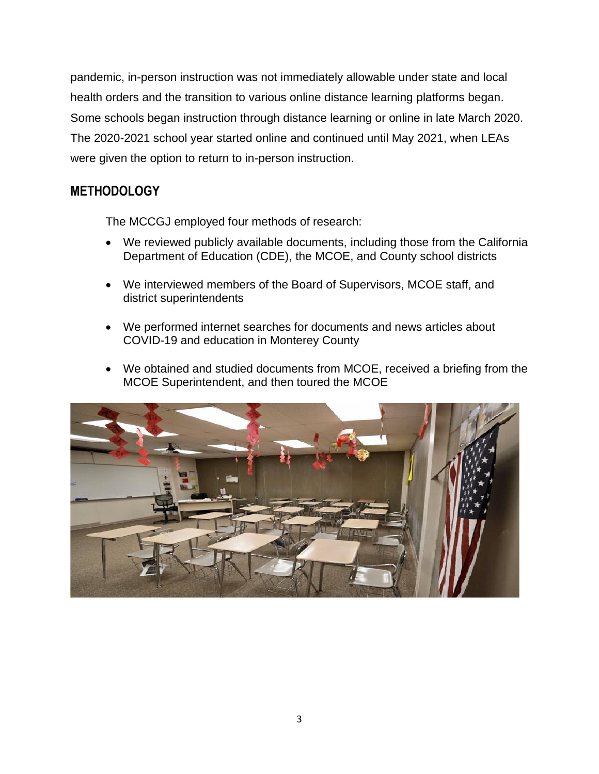pandemic, in-person instruction was not immediately allowable under state and local health orders and the transition to various online distance learning platforms began. Some schools began instruction through distance learning or online in late March 2020. The 2020-2021 school year started online and continued until May 2021, when LEAs were given the option to return to in-person instruction.

# **METHODOLOGY**

The MCCGJ employed four methods of research:

- We reviewed publicly available documents, including those from the California Department of Education (CDE), the MCOE, and County school districts
- We interviewed members of the Board of Supervisors, MCOE staff, and district superintendents
- We performed internet searches for documents and news articles about COVID-19 and education in Monterey County
- We obtained and studied documents from MCOE, received a briefing from the MCOE Superintendent, and then toured the MCOE

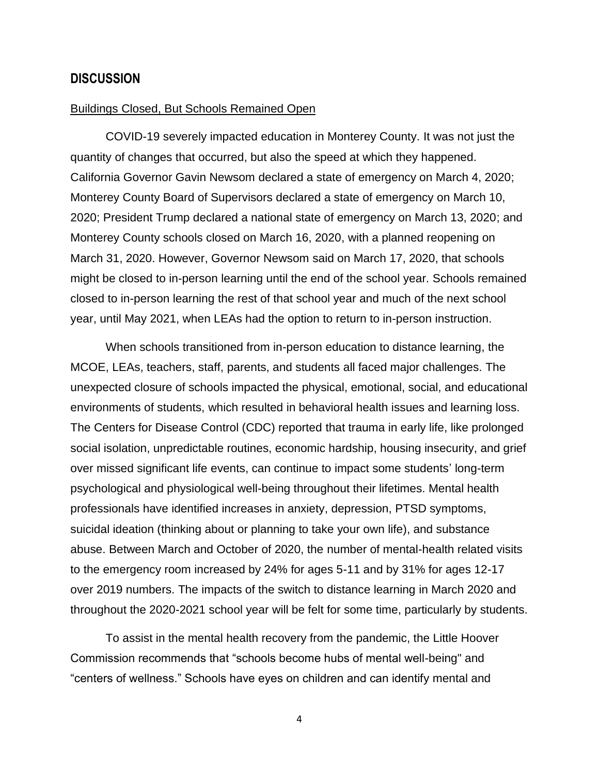#### **DISCUSSION**

#### Buildings Closed, But Schools Remained Open

COVID-19 severely impacted education in Monterey County. It was not just the quantity of changes that occurred, but also the speed at which they happened. California Governor Gavin Newsom declared a state of emergency on March 4, 2020; Monterey County Board of Supervisors declared a state of emergency on March 10, 2020; President Trump declared a national state of emergency on March 13, 2020; and Monterey County schools closed on March 16, 2020, with a planned reopening on March 31, 2020. However, Governor Newsom said on March 17, 2020, that schools might be closed to in-person learning until the end of the school year. Schools remained closed to in-person learning the rest of that school year and much of the next school year, until May 2021, when LEAs had the option to return to in-person instruction.

When schools transitioned from in-person education to distance learning, the MCOE, LEAs, teachers, staff, parents, and students all faced major challenges. The unexpected closure of schools impacted the physical, emotional, social, and educational environments of students, which resulted in behavioral health issues and learning loss. The Centers for Disease Control (CDC) reported that trauma in early life, like prolonged social isolation, unpredictable routines, economic hardship, housing insecurity, and grief over missed significant life events, can continue to impact some students' long-term psychological and physiological well-being throughout their lifetimes. Mental health professionals have identified increases in anxiety, depression, PTSD symptoms, suicidal ideation (thinking about or planning to take your own life), and substance abuse. Between March and October of 2020, the number of mental-health related visits to the emergency room increased by 24% for ages 5-11 and by 31% for ages 12-17 over 2019 numbers. The impacts of the switch to distance learning in March 2020 and throughout the 2020-2021 school year will be felt for some time, particularly by students.

To assist in the mental health recovery from the pandemic, the Little Hoover Commission recommends that "schools become hubs of mental well-being" and "centers of wellness." Schools have eyes on children and can identify mental and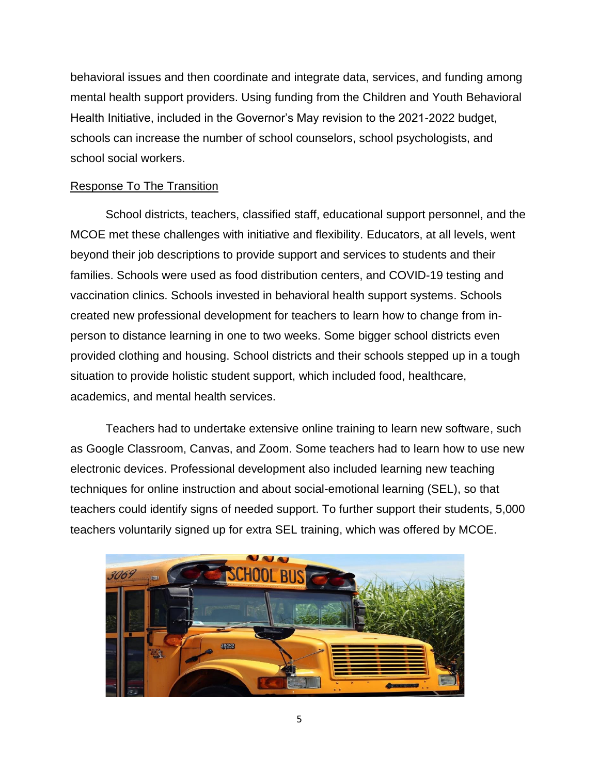behavioral issues and then coordinate and integrate data, services, and funding among mental health support providers. Using funding from the Children and Youth Behavioral Health Initiative, included in the Governor's May revision to the 2021-2022 budget, schools can increase the number of school counselors, school psychologists, and school social workers.

### Response To The Transition

School districts, teachers, classified staff, educational support personnel, and the MCOE met these challenges with initiative and flexibility. Educators, at all levels, went beyond their job descriptions to provide support and services to students and their families. Schools were used as food distribution centers, and COVID-19 testing and vaccination clinics. Schools invested in behavioral health support systems. Schools created new professional development for teachers to learn how to change from inperson to distance learning in one to two weeks. Some bigger school districts even provided clothing and housing. School districts and their schools stepped up in a tough situation to provide holistic student support, which included food, healthcare, academics, and mental health services.

Teachers had to undertake extensive online training to learn new software, such as Google Classroom, Canvas, and Zoom. Some teachers had to learn how to use new electronic devices. Professional development also included learning new teaching techniques for online instruction and about social-emotional learning (SEL), so that teachers could identify signs of needed support. To further support their students, 5,000 teachers voluntarily signed up for extra SEL training, which was offered by MCOE.

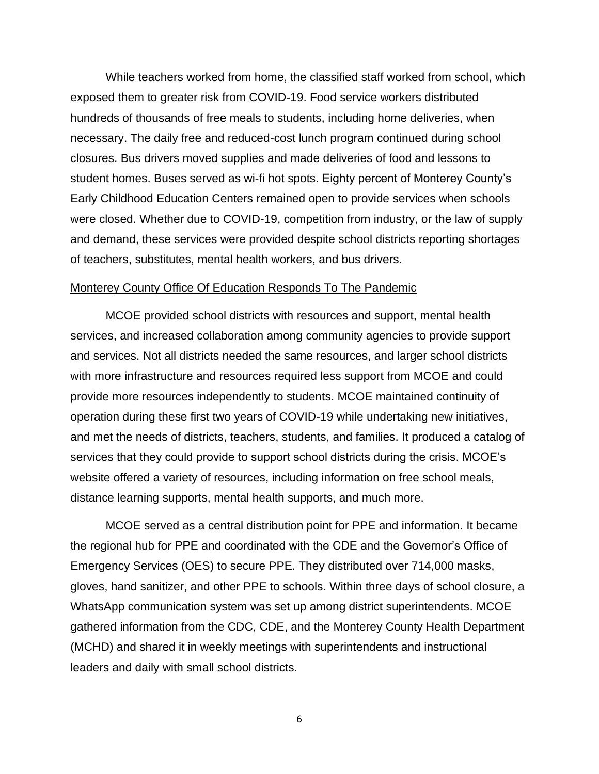While teachers worked from home, the classified staff worked from school, which exposed them to greater risk from COVID-19. Food service workers distributed hundreds of thousands of free meals to students, including home deliveries, when necessary. The daily free and reduced-cost lunch program continued during school closures. Bus drivers moved supplies and made deliveries of food and lessons to student homes. Buses served as wi-fi hot spots. Eighty percent of Monterey County's Early Childhood Education Centers remained open to provide services when schools were closed. Whether due to COVID-19, competition from industry, or the law of supply and demand, these services were provided despite school districts reporting shortages of teachers, substitutes, mental health workers, and bus drivers.

#### Monterey County Office Of Education Responds To The Pandemic

MCOE provided school districts with resources and support, mental health services, and increased collaboration among community agencies to provide support and services. Not all districts needed the same resources, and larger school districts with more infrastructure and resources required less support from MCOE and could provide more resources independently to students. MCOE maintained continuity of operation during these first two years of COVID-19 while undertaking new initiatives, and met the needs of districts, teachers, students, and families. It produced a catalog of services that they could provide to support school districts during the crisis. MCOE's website offered a variety of resources, including information on free school meals, distance learning supports, mental health supports, and much more.

MCOE served as a central distribution point for PPE and information. It became the regional hub for PPE and coordinated with the CDE and the Governor's Office of Emergency Services (OES) to secure PPE. They distributed over 714,000 masks, gloves, hand sanitizer, and other PPE to schools. Within three days of school closure, a WhatsApp communication system was set up among district superintendents. MCOE gathered information from the CDC, CDE, and the Monterey County Health Department (MCHD) and shared it in weekly meetings with superintendents and instructional leaders and daily with small school districts.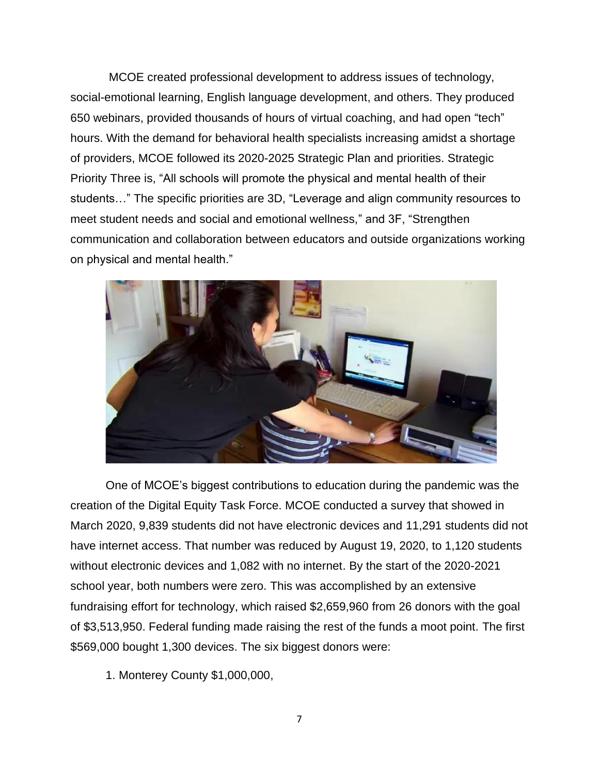MCOE created professional development to address issues of technology, social-emotional learning, English language development, and others. They produced 650 webinars, provided thousands of hours of virtual coaching, and had open "tech" hours. With the demand for behavioral health specialists increasing amidst a shortage of providers, MCOE followed its 2020-2025 Strategic Plan and priorities. Strategic Priority Three is, "All schools will promote the physical and mental health of their students…" The specific priorities are 3D, "Leverage and align community resources to meet student needs and social and emotional wellness," and 3F, "Strengthen communication and collaboration between educators and outside organizations working on physical and mental health."



One of MCOE's biggest contributions to education during the pandemic was the creation of the Digital Equity Task Force. MCOE conducted a survey that showed in March 2020, 9,839 students did not have electronic devices and 11,291 students did not have internet access. That number was reduced by August 19, 2020, to 1,120 students without electronic devices and 1,082 with no internet. By the start of the 2020-2021 school year, both numbers were zero. This was accomplished by an extensive fundraising effort for technology, which raised \$2,659,960 from 26 donors with the goal of \$3,513,950. Federal funding made raising the rest of the funds a moot point. The first \$569,000 bought 1,300 devices. The six biggest donors were:

1. Monterey County \$1,000,000,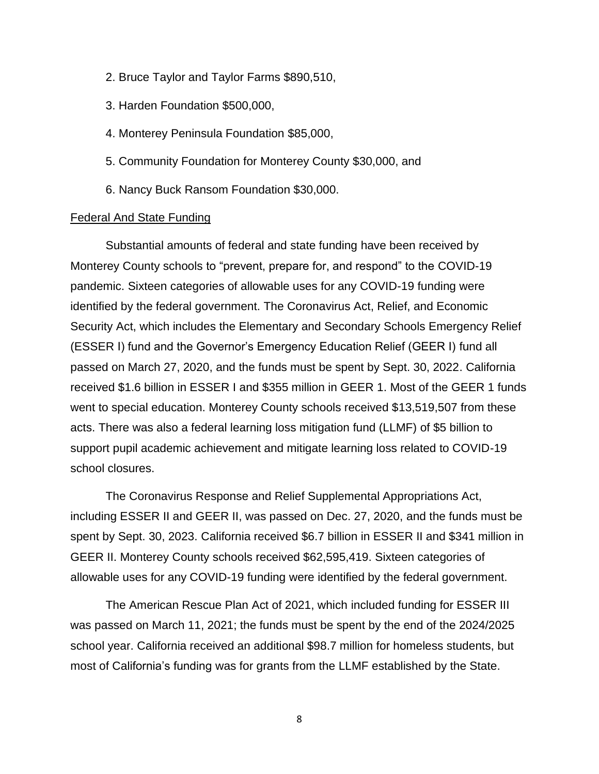- 2. Bruce Taylor and Taylor Farms \$890,510,
- 3. Harden Foundation \$500,000,
- 4. Monterey Peninsula Foundation \$85,000,
- 5. Community Foundation for Monterey County \$30,000, and
- 6. Nancy Buck Ransom Foundation \$30,000.

#### Federal And State Funding

Substantial amounts of federal and state funding have been received by Monterey County schools to "prevent, prepare for, and respond" to the COVID-19 pandemic. Sixteen categories of allowable uses for any COVID-19 funding were identified by the federal government. The Coronavirus Act, Relief, and Economic Security Act, which includes the Elementary and Secondary Schools Emergency Relief (ESSER I) fund and the Governor's Emergency Education Relief (GEER I) fund all passed on March 27, 2020, and the funds must be spent by Sept. 30, 2022. California received \$1.6 billion in ESSER I and \$355 million in GEER 1. Most of the GEER 1 funds went to special education. Monterey County schools received \$13,519,507 from these acts. There was also a federal learning loss mitigation fund (LLMF) of \$5 billion to support pupil academic achievement and mitigate learning loss related to COVID-19 school closures.

The Coronavirus Response and Relief Supplemental Appropriations Act, including ESSER II and GEER II, was passed on Dec. 27, 2020, and the funds must be spent by Sept. 30, 2023. California received \$6.7 billion in ESSER II and \$341 million in GEER II. Monterey County schools received \$62,595,419. Sixteen categories of allowable uses for any COVID-19 funding were identified by the federal government.

The American Rescue Plan Act of 2021, which included funding for ESSER III was passed on March 11, 2021; the funds must be spent by the end of the 2024/2025 school year. California received an additional \$98.7 million for homeless students, but most of California's funding was for grants from the LLMF established by the State.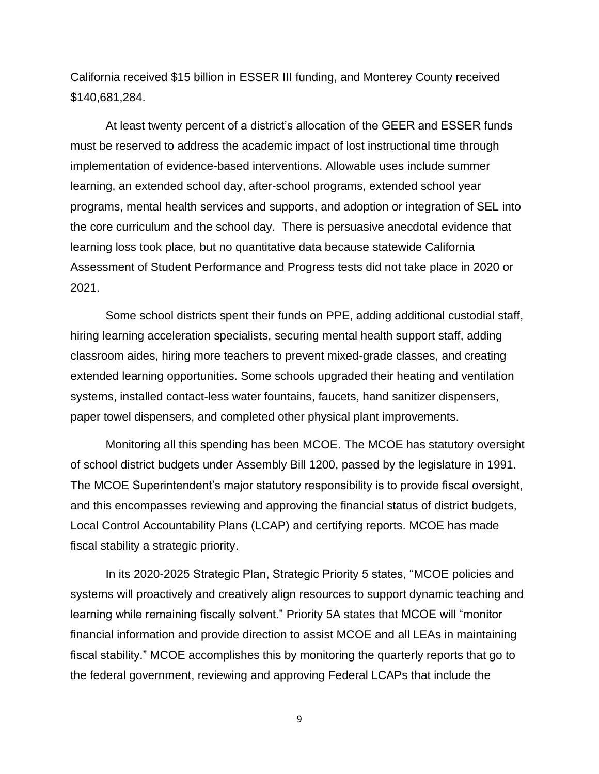California received \$15 billion in ESSER III funding, and Monterey County received \$140,681,284.

At least twenty percent of a district's allocation of the GEER and ESSER funds must be reserved to address the academic impact of lost instructional time through implementation of evidence-based interventions. Allowable uses include summer learning, an extended school day, after-school programs, extended school year programs, mental health services and supports, and adoption or integration of SEL into the core curriculum and the school day. There is persuasive anecdotal evidence that learning loss took place, but no quantitative data because statewide California Assessment of Student Performance and Progress tests did not take place in 2020 or 2021.

Some school districts spent their funds on PPE, adding additional custodial staff, hiring learning acceleration specialists, securing mental health support staff, adding classroom aides, hiring more teachers to prevent mixed-grade classes, and creating extended learning opportunities. Some schools upgraded their heating and ventilation systems, installed contact-less water fountains, faucets, hand sanitizer dispensers, paper towel dispensers, and completed other physical plant improvements.

Monitoring all this spending has been MCOE. The MCOE has statutory oversight of school district budgets under Assembly Bill 1200, passed by the legislature in 1991. The MCOE Superintendent's major statutory responsibility is to provide fiscal oversight, and this encompasses reviewing and approving the financial status of district budgets, Local Control Accountability Plans (LCAP) and certifying reports. MCOE has made fiscal stability a strategic priority.

In its 2020-2025 Strategic Plan, Strategic Priority 5 states, "MCOE policies and systems will proactively and creatively align resources to support dynamic teaching and learning while remaining fiscally solvent." Priority 5A states that MCOE will "monitor financial information and provide direction to assist MCOE and all LEAs in maintaining fiscal stability." MCOE accomplishes this by monitoring the quarterly reports that go to the federal government, reviewing and approving Federal LCAPs that include the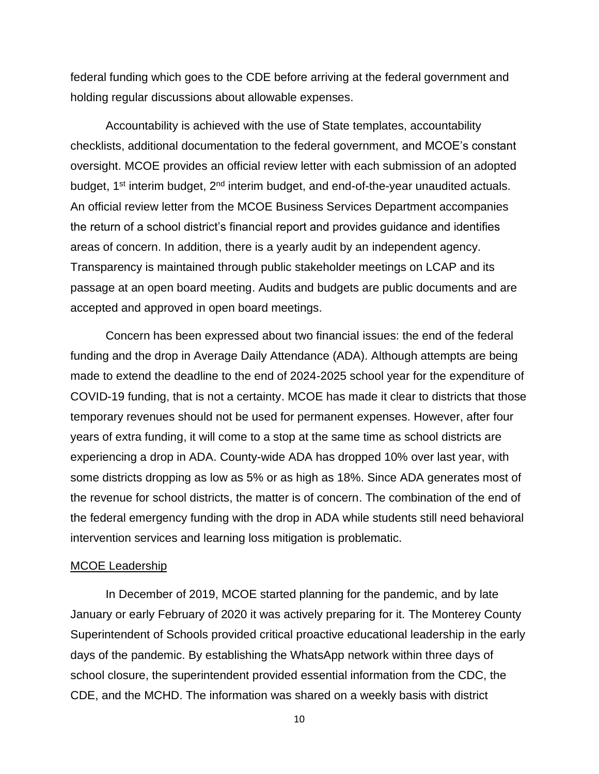federal funding which goes to the CDE before arriving at the federal government and holding regular discussions about allowable expenses.

Accountability is achieved with the use of State templates, accountability checklists, additional documentation to the federal government, and MCOE's constant oversight. MCOE provides an official review letter with each submission of an adopted budget, 1<sup>st</sup> interim budget, 2<sup>nd</sup> interim budget, and end-of-the-year unaudited actuals. An official review letter from the MCOE Business Services Department accompanies the return of a school district's financial report and provides guidance and identifies areas of concern. In addition, there is a yearly audit by an independent agency. Transparency is maintained through public stakeholder meetings on LCAP and its passage at an open board meeting. Audits and budgets are public documents and are accepted and approved in open board meetings.

Concern has been expressed about two financial issues: the end of the federal funding and the drop in Average Daily Attendance (ADA). Although attempts are being made to extend the deadline to the end of 2024-2025 school year for the expenditure of COVID-19 funding, that is not a certainty. MCOE has made it clear to districts that those temporary revenues should not be used for permanent expenses. However, after four years of extra funding, it will come to a stop at the same time as school districts are experiencing a drop in ADA. County-wide ADA has dropped 10% over last year, with some districts dropping as low as 5% or as high as 18%. Since ADA generates most of the revenue for school districts, the matter is of concern. The combination of the end of the federal emergency funding with the drop in ADA while students still need behavioral intervention services and learning loss mitigation is problematic.

### MCOE Leadership

In December of 2019, MCOE started planning for the pandemic, and by late January or early February of 2020 it was actively preparing for it. The Monterey County Superintendent of Schools provided critical proactive educational leadership in the early days of the pandemic. By establishing the WhatsApp network within three days of school closure, the superintendent provided essential information from the CDC, the CDE, and the MCHD. The information was shared on a weekly basis with district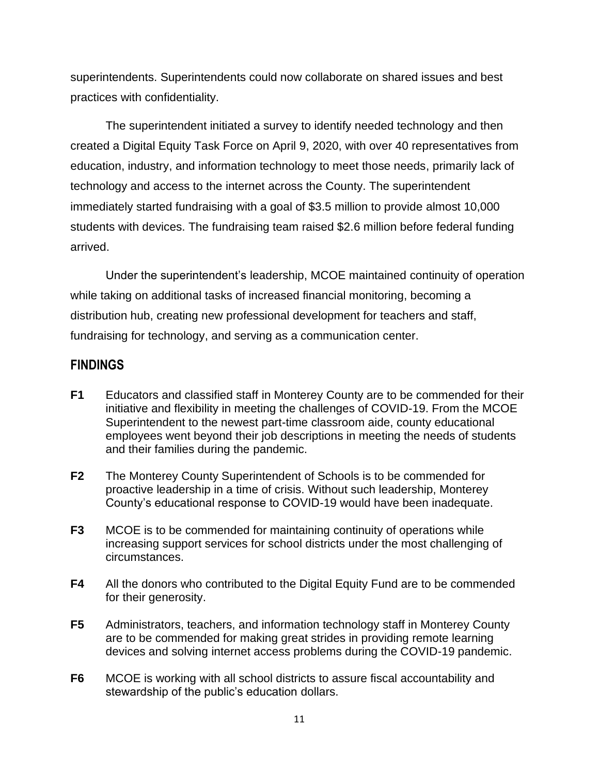superintendents. Superintendents could now collaborate on shared issues and best practices with confidentiality.

The superintendent initiated a survey to identify needed technology and then created a Digital Equity Task Force on April 9, 2020, with over 40 representatives from education, industry, and information technology to meet those needs, primarily lack of technology and access to the internet across the County. The superintendent immediately started fundraising with a goal of \$3.5 million to provide almost 10,000 students with devices. The fundraising team raised \$2.6 million before federal funding arrived.

Under the superintendent's leadership, MCOE maintained continuity of operation while taking on additional tasks of increased financial monitoring, becoming a distribution hub, creating new professional development for teachers and staff, fundraising for technology, and serving as a communication center.

## **FINDINGS**

- **F1** Educators and classified staff in Monterey County are to be commended for their initiative and flexibility in meeting the challenges of COVID-19. From the MCOE Superintendent to the newest part-time classroom aide, county educational employees went beyond their job descriptions in meeting the needs of students and their families during the pandemic.
- **F2** The Monterey County Superintendent of Schools is to be commended for proactive leadership in a time of crisis. Without such leadership, Monterey County's educational response to COVID-19 would have been inadequate.
- **F3** MCOE is to be commended for maintaining continuity of operations while increasing support services for school districts under the most challenging of circumstances.
- **F4** All the donors who contributed to the Digital Equity Fund are to be commended for their generosity.
- **F5** Administrators, teachers, and information technology staff in Monterey County are to be commended for making great strides in providing remote learning devices and solving internet access problems during the COVID-19 pandemic.
- **F6** MCOE is working with all school districts to assure fiscal accountability and stewardship of the public's education dollars.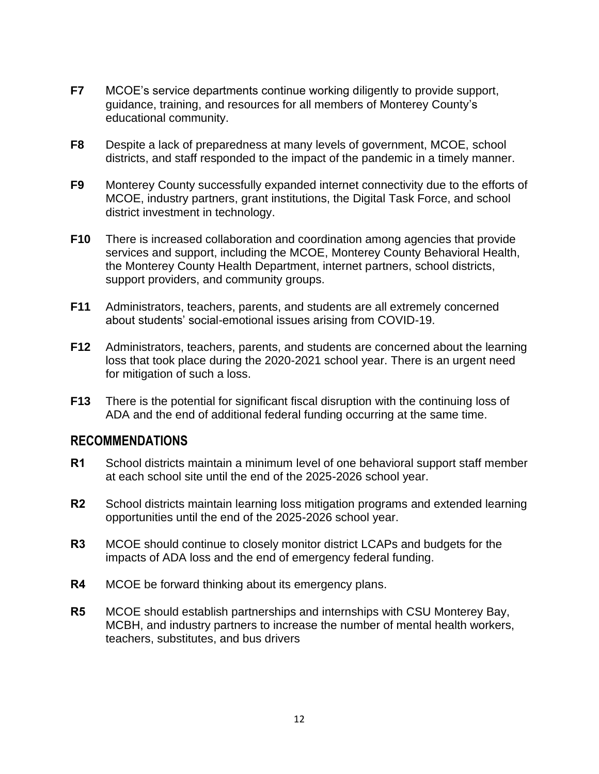- **F7** MCOE's service departments continue working diligently to provide support, guidance, training, and resources for all members of Monterey County's educational community.
- **F8** Despite a lack of preparedness at many levels of government, MCOE, school districts, and staff responded to the impact of the pandemic in a timely manner.
- **F9** Monterey County successfully expanded internet connectivity due to the efforts of MCOE, industry partners, grant institutions, the Digital Task Force, and school district investment in technology.
- **F10** There is increased collaboration and coordination among agencies that provide services and support, including the MCOE, Monterey County Behavioral Health, the Monterey County Health Department, internet partners, school districts, support providers, and community groups.
- **F11** Administrators, teachers, parents, and students are all extremely concerned about students' social-emotional issues arising from COVID-19.
- **F12** Administrators, teachers, parents, and students are concerned about the learning loss that took place during the 2020-2021 school year. There is an urgent need for mitigation of such a loss.
- **F13** There is the potential for significant fiscal disruption with the continuing loss of ADA and the end of additional federal funding occurring at the same time.

### **RECOMMENDATIONS**

- **R1** School districts maintain a minimum level of one behavioral support staff member at each school site until the end of the 2025-2026 school year.
- **R2** School districts maintain learning loss mitigation programs and extended learning opportunities until the end of the 2025-2026 school year.
- **R3** MCOE should continue to closely monitor district LCAPs and budgets for the impacts of ADA loss and the end of emergency federal funding.
- **R4** MCOE be forward thinking about its emergency plans.
- **R5** MCOE should establish partnerships and internships with CSU Monterey Bay, MCBH, and industry partners to increase the number of mental health workers, teachers, substitutes, and bus drivers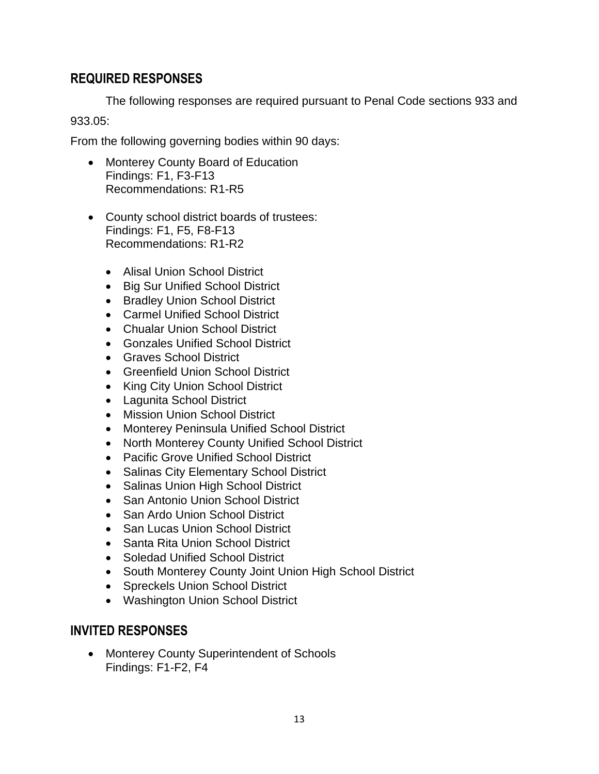# **REQUIRED RESPONSES**

The following responses are required pursuant to Penal Code sections 933 and 933.05:

From the following governing bodies within 90 days:

- Monterey County Board of Education Findings: F1, F3-F13 Recommendations: R1-R5
- County school district boards of trustees: Findings: F1, F5, F8-F13 Recommendations: R1-R2
	- Alisal Union School District
	- Big Sur Unified School District
	- Bradley Union School District
	- Carmel Unified School District
	- Chualar Union School District
	- Gonzales Unified School District
	- Graves School District
	- Greenfield Union School District
	- King City Union School District
	- Lagunita School District
	- Mission Union School District
	- Monterey Peninsula Unified School District
	- North Monterey County Unified School District
	- Pacific Grove Unified School District
	- Salinas City Elementary School District
	- Salinas Union High School District
	- San Antonio Union School District
	- San Ardo Union School District
	- San Lucas Union School District
	- Santa Rita Union School District
	- Soledad Unified School District
	- South Monterey County Joint Union High School District
	- Spreckels Union School District
	- Washington Union School District

# **INVITED RESPONSES**

• Monterey County Superintendent of Schools Findings: F1-F2, F4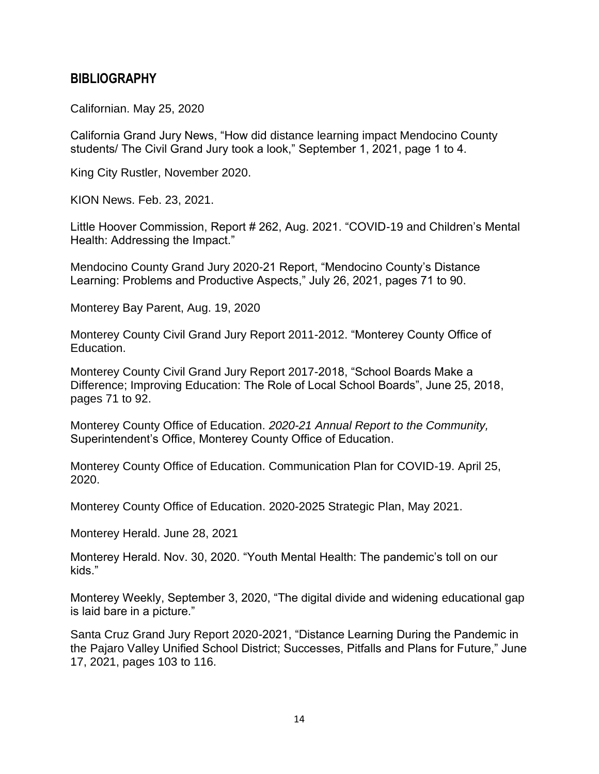### **BIBLIOGRAPHY**

Californian. May 25, 2020

California Grand Jury News, "How did distance learning impact Mendocino County students/ The Civil Grand Jury took a look," September 1, 2021, page 1 to 4.

King City Rustler, November 2020.

KION News. Feb. 23, 2021.

Little Hoover Commission, Report # 262, Aug. 2021. "COVID-19 and Children's Mental Health: Addressing the Impact."

Mendocino County Grand Jury 2020-21 Report, "Mendocino County's Distance Learning: Problems and Productive Aspects," July 26, 2021, pages 71 to 90.

Monterey Bay Parent, Aug. 19, 2020

Monterey County Civil Grand Jury Report 2011-2012. "Monterey County Office of Education.

Monterey County Civil Grand Jury Report 2017-2018, "School Boards Make a Difference; Improving Education: The Role of Local School Boards", June 25, 2018, pages 71 to 92.

Monterey County Office of Education. *2020-21 Annual Report to the Community,* Superintendent's Office, Monterey County Office of Education.

Monterey County Office of Education. Communication Plan for COVID-19. April 25, 2020.

Monterey County Office of Education. 2020-2025 Strategic Plan, May 2021.

Monterey Herald. June 28, 2021

Monterey Herald. Nov. 30, 2020. "Youth Mental Health: The pandemic's toll on our kids."

Monterey Weekly, September 3, 2020, "The digital divide and widening educational gap is laid bare in a picture."

Santa Cruz Grand Jury Report 2020-2021, "Distance Learning During the Pandemic in the Pajaro Valley Unified School District; Successes, Pitfalls and Plans for Future," June 17, 2021, pages 103 to 116.